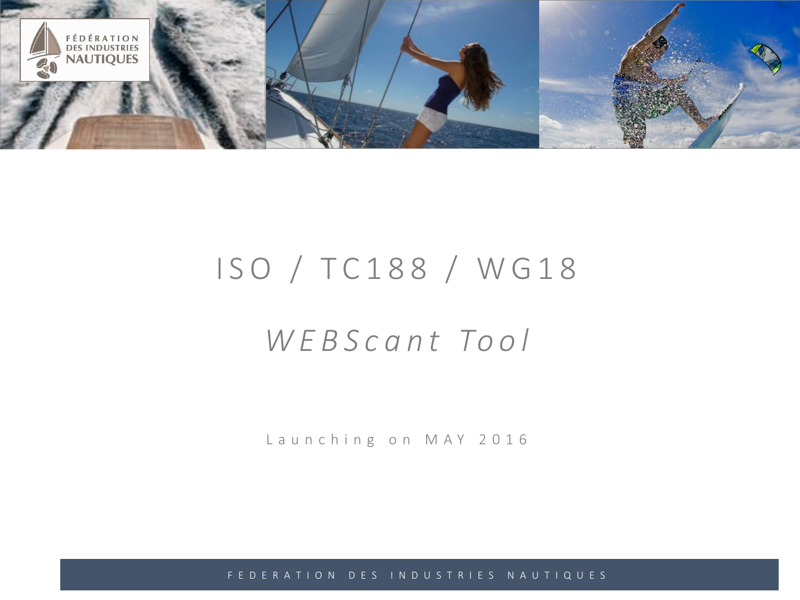

# I SO / TC188 / WG18

# *W E B S c a n t To o l*

Launching on MAY 2016

F E D E R A T I O N D E S I N D U S T R I E S N A U T I Q U E S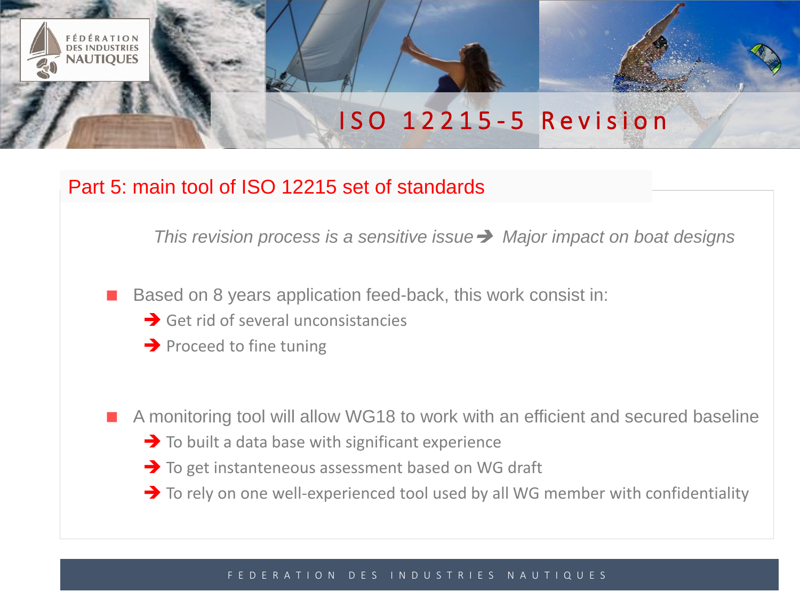## I S O 1 2 2 1 5 - 5 R e v i s i o n

## Part 5: main tool of ISO 12215 set of standards

*This revision process is a sensitive issue Major impact on boat designs*

- Based on 8 years application feed-back, this work consist in:
	- $\rightarrow$  Get rid of several unconsistancies
	- $\rightarrow$  Proceed to fine tuning

**NAUTIOUES** 

A monitoring tool will allow WG18 to work with an efficient and secured baseline

- $\rightarrow$  To built a data base with significant experience
- To get instanteneous assessment based on WG draft
- To rely on one well-experienced tool used by all WG member with confidentiality

#### T I O N D E S I N D U S T R I E S N A U T I Q U E S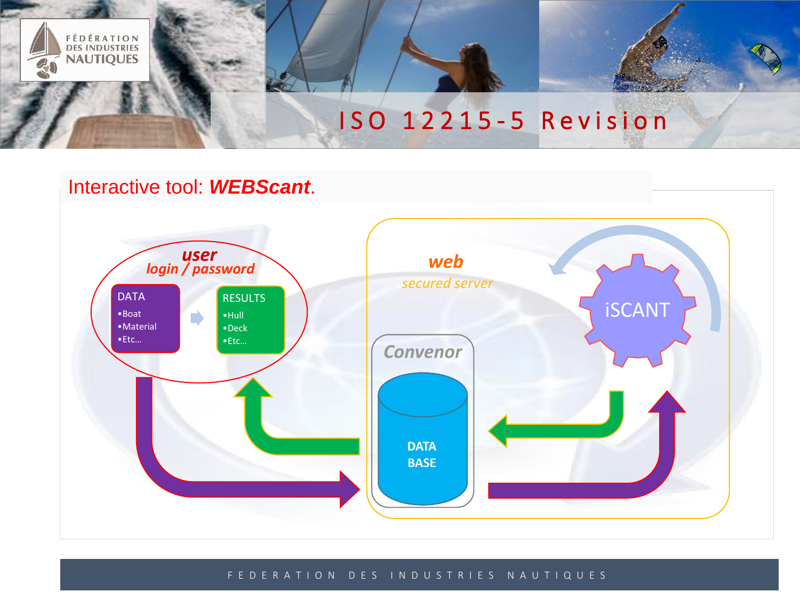

## Interactive tool: *WEBScant*.



#### F E D E R A T I O N D E S I N D U S T R I E S N A U T I Q U E S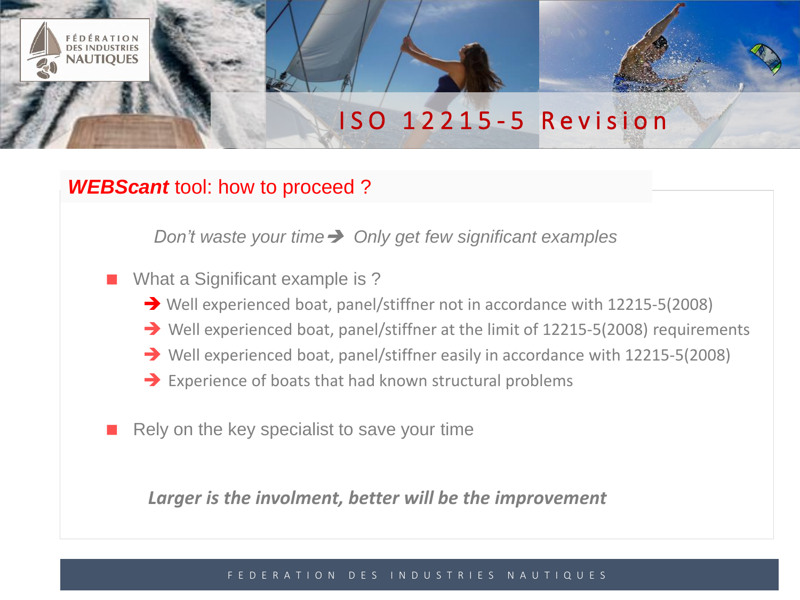## I S O 1 2 2 1 5 - 5 R e v i s i o n

### *WEBScant* tool: how to proceed ?

**NAUTIOUES** 

*Don't waste your time Only get few significant examples*

What a Significant example is ?

- Well experienced boat, panel/stiffner not in accordance with 12215-5(2008)
- Well experienced boat, panel/stiffner at the limit of 12215-5(2008) requirements
- Well experienced boat, panel/stiffner easily in accordance with 12215-5(2008)
- $\rightarrow$  Experience of boats that had known structural problems
- Rely on the key specialist to save your time

*Larger is the involment, better will be the improvement*